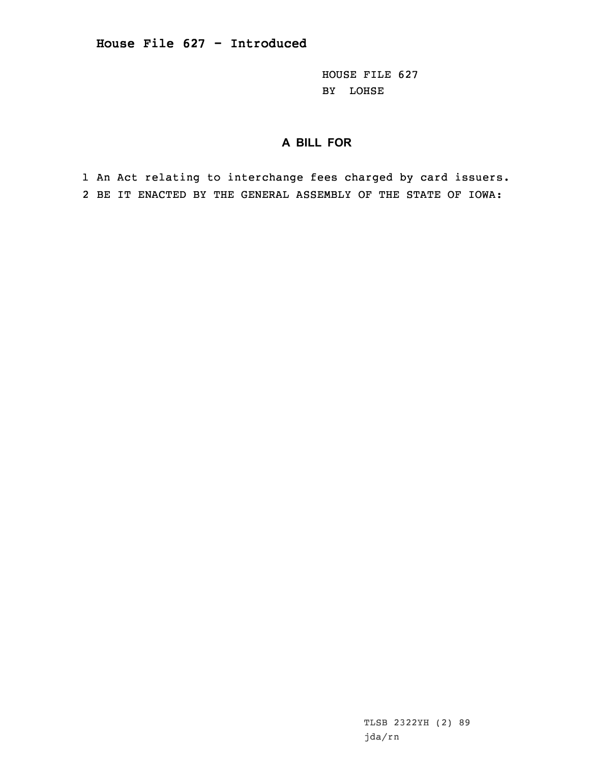HOUSE FILE 627 BY LOHSE

## **A BILL FOR**

1 An Act relating to interchange fees charged by card issuers. 2 BE IT ENACTED BY THE GENERAL ASSEMBLY OF THE STATE OF IOWA: